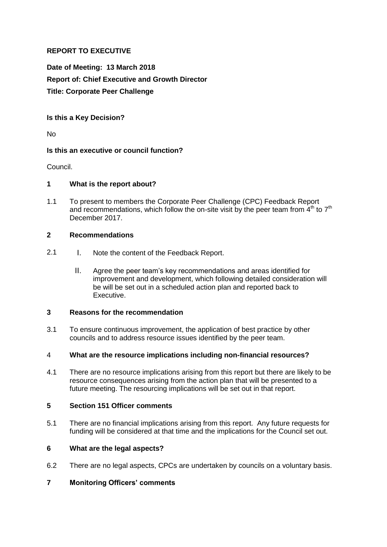# **REPORT TO EXECUTIVE**

**Date of Meeting: 13 March 2018 Report of: Chief Executive and Growth Director Title: Corporate Peer Challenge** 

**Is this a Key Decision?** 

No

### **Is this an executive or council function?**

Council.

## **1 What is the report about?**

1.1 To present to members the Corporate Peer Challenge (CPC) Feedback Report and recommendations, which follow the on-site visit by the peer team from  $4<sup>th</sup>$  to  $7<sup>th</sup>$ December 2017.

### **2 Recommendations**

- 2.1 I. Note the content of the Feedback Report.
	- II. Agree the peer team's key recommendations and areas identified for improvement and development, which following detailed consideration will be will be set out in a scheduled action plan and reported back to Executive.

### **3 Reasons for the recommendation**

3.1 To ensure continuous improvement, the application of best practice by other councils and to address resource issues identified by the peer team.

### 4 **What are the resource implications including non-financial resources?**

4.1 There are no resource implications arising from this report but there are likely to be resource consequences arising from the action plan that will be presented to a future meeting. The resourcing implications will be set out in that report.

### **5 Section 151 Officer comments**

5.1 There are no financial implications arising from this report. Any future requests for funding will be considered at that time and the implications for the Council set out.

### **6 What are the legal aspects?**

6.2 There are no legal aspects, CPCs are undertaken by councils on a voluntary basis.

# **7 Monitoring Officers' comments**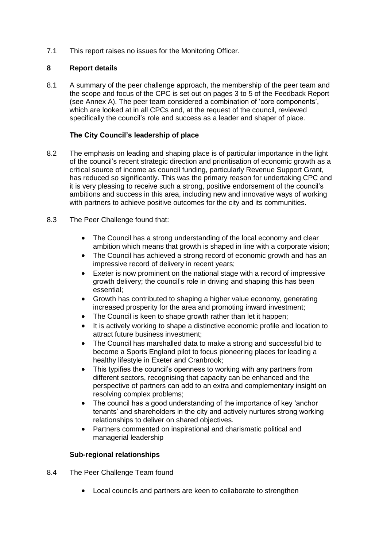7.1 This report raises no issues for the Monitoring Officer.

## **8 Report details**

8.1 A summary of the peer challenge approach, the membership of the peer team and the scope and focus of the CPC is set out on pages 3 to 5 of the Feedback Report (see Annex A). The peer team considered a combination of 'core components', which are looked at in all CPCs and, at the request of the council, reviewed specifically the council's role and success as a leader and shaper of place.

## **The City Council's leadership of place**

- 8.2 The emphasis on leading and shaping place is of particular importance in the light of the council's recent strategic direction and prioritisation of economic growth as a critical source of income as council funding, particularly Revenue Support Grant, has reduced so significantly. This was the primary reason for undertaking CPC and it is very pleasing to receive such a strong, positive endorsement of the council's ambitions and success in this area, including new and innovative ways of working with partners to achieve positive outcomes for the city and its communities.
- 8.3 The Peer Challenge found that:
	- The Council has a strong understanding of the local economy and clear ambition which means that growth is shaped in line with a corporate vision;
	- The Council has achieved a strong record of economic growth and has an impressive record of delivery in recent years;
	- Exeter is now prominent on the national stage with a record of impressive growth delivery; the council's role in driving and shaping this has been essential;
	- Growth has contributed to shaping a higher value economy, generating increased prosperity for the area and promoting inward investment;
	- The Council is keen to shape growth rather than let it happen;
	- It is actively working to shape a distinctive economic profile and location to attract future business investment;
	- The Council has marshalled data to make a strong and successful bid to become a Sports England pilot to focus pioneering places for leading a healthy lifestyle in Exeter and Cranbrook;
	- This typifies the council's openness to working with any partners from different sectors, recognising that capacity can be enhanced and the perspective of partners can add to an extra and complementary insight on resolving complex problems;
	- The council has a good understanding of the importance of key 'anchor tenants' and shareholders in the city and actively nurtures strong working relationships to deliver on shared objectives.
	- Partners commented on inspirational and charismatic political and managerial leadership

### **Sub-regional relationships**

- 8.4 The Peer Challenge Team found
	- Local councils and partners are keen to collaborate to strengthen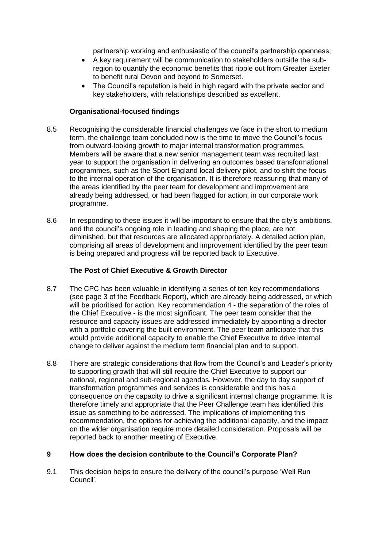partnership working and enthusiastic of the council's partnership openness;

- A key requirement will be communication to stakeholders outside the subregion to quantify the economic benefits that ripple out from Greater Exeter to benefit rural Devon and beyond to Somerset.
- The Council's reputation is held in high regard with the private sector and key stakeholders, with relationships described as excellent.

### **Organisational-focused findings**

- 8.5 Recognising the considerable financial challenges we face in the short to medium term, the challenge team concluded now is the time to move the Council's focus from outward-looking growth to major internal transformation programmes. Members will be aware that a new senior management team was recruited last year to support the organisation in delivering an outcomes based transformational programmes, such as the Sport England local delivery pilot, and to shift the focus to the internal operation of the organisation. It is therefore reassuring that many of the areas identified by the peer team for development and improvement are already being addressed, or had been flagged for action, in our corporate work programme.
- 8.6 In responding to these issues it will be important to ensure that the city's ambitions, and the council's ongoing role in leading and shaping the place, are not diminished, but that resources are allocated appropriately. A detailed action plan, comprising all areas of development and improvement identified by the peer team is being prepared and progress will be reported back to Executive.

## **The Post of Chief Executive & Growth Director**

- 8.7 The CPC has been valuable in identifying a series of ten key recommendations (see page 3 of the Feedback Report), which are already being addressed, or which will be prioritised for action. Key recommendation 4 - the separation of the roles of the Chief Executive - is the most significant. The peer team consider that the resource and capacity issues are addressed immediately by appointing a director with a portfolio covering the built environment. The peer team anticipate that this would provide additional capacity to enable the Chief Executive to drive internal change to deliver against the medium term financial plan and to support.
- 8.8 There are strategic considerations that flow from the Council's and Leader's priority to supporting growth that will still require the Chief Executive to support our national, regional and sub-regional agendas. However, the day to day support of transformation programmes and services is considerable and this has a consequence on the capacity to drive a significant internal change programme. It is therefore timely and appropriate that the Peer Challenge team has identified this issue as something to be addressed. The implications of implementing this recommendation, the options for achieving the additional capacity, and the impact on the wider organisation require more detailed consideration. Proposals will be reported back to another meeting of Executive.

### **9 How does the decision contribute to the Council's Corporate Plan?**

9.1 This decision helps to ensure the delivery of the council's purpose 'Well Run Council'.